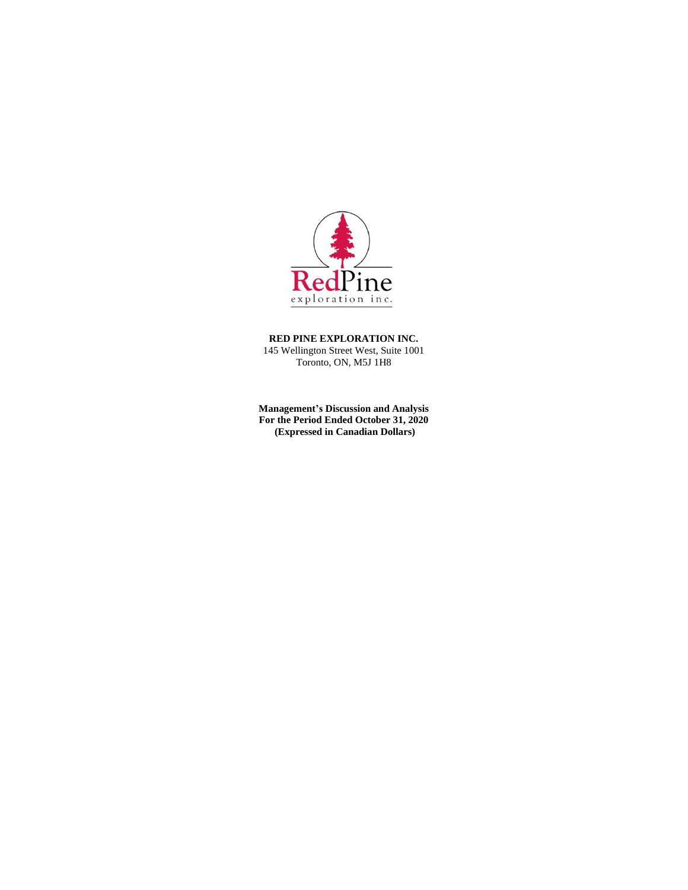

**RED PINE EXPLORATION INC.** 145 Wellington Street West, Suite 1001 Toronto, ON, M5J 1H8

**Management's Discussion and Analysis For the Period Ended October 31, 2020 (Expressed in Canadian Dollars)**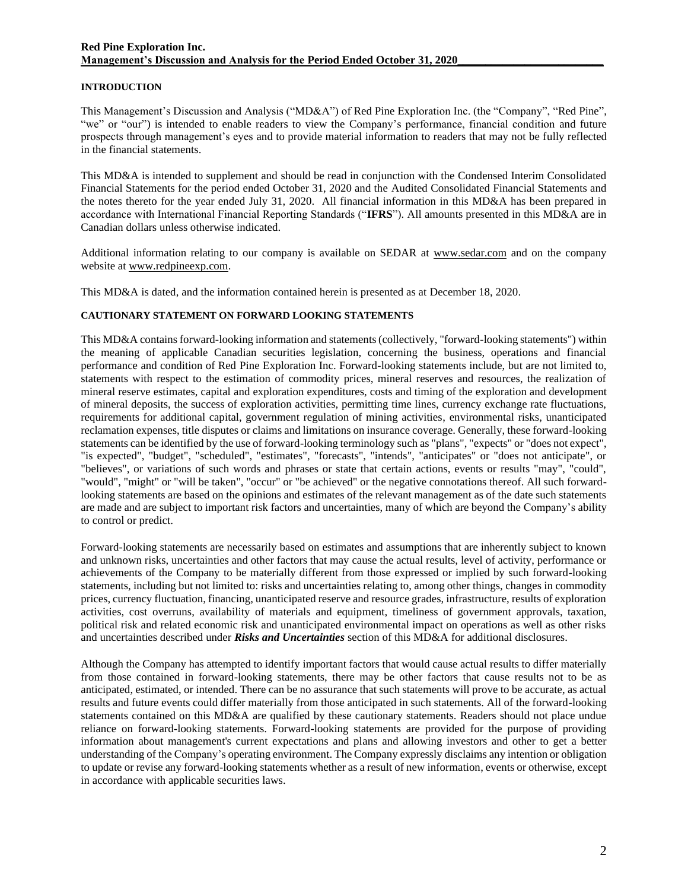# **INTRODUCTION**

This Management's Discussion and Analysis ("MD&A") of Red Pine Exploration Inc. (the "Company", "Red Pine", "we" or "our") is intended to enable readers to view the Company's performance, financial condition and future prospects through management's eyes and to provide material information to readers that may not be fully reflected in the financial statements.

This MD&A is intended to supplement and should be read in conjunction with the Condensed Interim Consolidated Financial Statements for the period ended October 31, 2020 and the Audited Consolidated Financial Statements and the notes thereto for the year ended July 31, 2020. All financial information in this MD&A has been prepared in accordance with International Financial Reporting Standards ("**IFRS**"). All amounts presented in this MD&A are in Canadian dollars unless otherwise indicated.

Additional information relating to our company is available on SEDAR at www.sedar.com and on the company website at www.redpineexp.com.

This MD&A is dated, and the information contained herein is presented as at December 18, 2020.

## **CAUTIONARY STATEMENT ON FORWARD LOOKING STATEMENTS**

This MD&A contains forward-looking information and statements (collectively, "forward-looking statements") within the meaning of applicable Canadian securities legislation, concerning the business, operations and financial performance and condition of Red Pine Exploration Inc. Forward-looking statements include, but are not limited to, statements with respect to the estimation of commodity prices, mineral reserves and resources, the realization of mineral reserve estimates, capital and exploration expenditures, costs and timing of the exploration and development of mineral deposits, the success of exploration activities, permitting time lines, currency exchange rate fluctuations, requirements for additional capital, government regulation of mining activities, environmental risks, unanticipated reclamation expenses, title disputes or claims and limitations on insurance coverage. Generally, these forward-looking statements can be identified by the use of forward-looking terminology such as "plans", "expects" or "does not expect", "is expected", "budget", "scheduled", "estimates", "forecasts", "intends", "anticipates" or "does not anticipate", or "believes", or variations of such words and phrases or state that certain actions, events or results "may", "could", "would", "might" or "will be taken", "occur" or "be achieved" or the negative connotations thereof. All such forwardlooking statements are based on the opinions and estimates of the relevant management as of the date such statements are made and are subject to important risk factors and uncertainties, many of which are beyond the Company's ability to control or predict.

Forward-looking statements are necessarily based on estimates and assumptions that are inherently subject to known and unknown risks, uncertainties and other factors that may cause the actual results, level of activity, performance or achievements of the Company to be materially different from those expressed or implied by such forward-looking statements, including but not limited to: risks and uncertainties relating to, among other things, changes in commodity prices, currency fluctuation, financing, unanticipated reserve and resource grades, infrastructure, results of exploration activities, cost overruns, availability of materials and equipment, timeliness of government approvals, taxation, political risk and related economic risk and unanticipated environmental impact on operations as well as other risks and uncertainties described under *Risks and Uncertainties* section of this MD&A for additional disclosures.

Although the Company has attempted to identify important factors that would cause actual results to differ materially from those contained in forward-looking statements, there may be other factors that cause results not to be as anticipated, estimated, or intended. There can be no assurance that such statements will prove to be accurate, as actual results and future events could differ materially from those anticipated in such statements. All of the forward-looking statements contained on this MD&A are qualified by these cautionary statements. Readers should not place undue reliance on forward-looking statements. Forward-looking statements are provided for the purpose of providing information about management's current expectations and plans and allowing investors and other to get a better understanding of the Company's operating environment. The Company expressly disclaims any intention or obligation to update or revise any forward-looking statements whether as a result of new information, events or otherwise, except in accordance with applicable securities laws.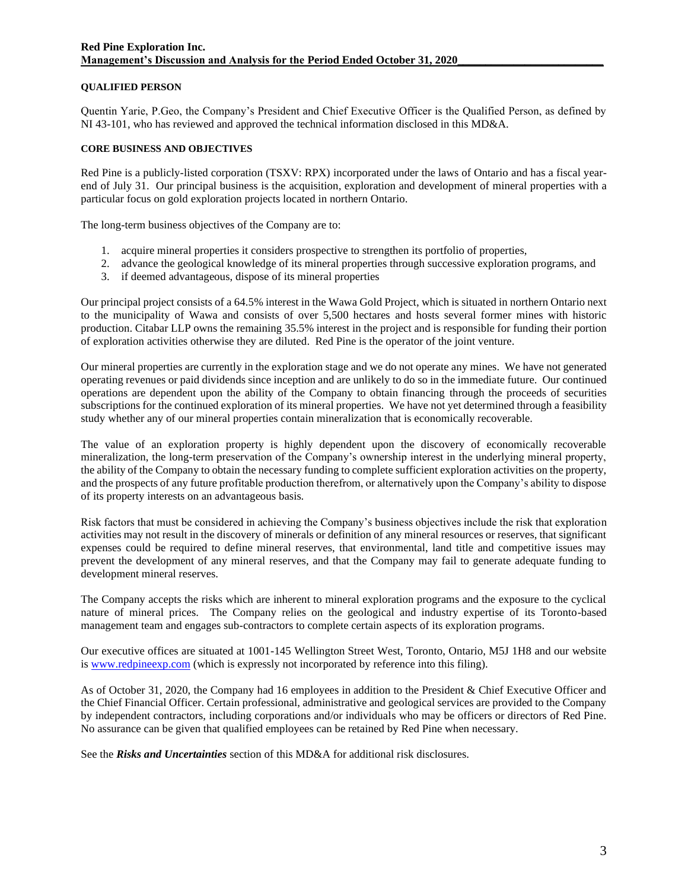## **QUALIFIED PERSON**

Quentin Yarie, P.Geo, the Company's President and Chief Executive Officer is the Qualified Person, as defined by NI 43-101, who has reviewed and approved the technical information disclosed in this MD&A.

## **CORE BUSINESS AND OBJECTIVES**

Red Pine is a publicly-listed corporation (TSXV: RPX) incorporated under the laws of Ontario and has a fiscal yearend of July 31. Our principal business is the acquisition, exploration and development of mineral properties with a particular focus on gold exploration projects located in northern Ontario.

The long-term business objectives of the Company are to:

- 1. acquire mineral properties it considers prospective to strengthen its portfolio of properties,
- 2. advance the geological knowledge of its mineral properties through successive exploration programs, and
- 3. if deemed advantageous, dispose of its mineral properties

Our principal project consists of a 64.5% interest in the Wawa Gold Project, which is situated in northern Ontario next to the municipality of Wawa and consists of over 5,500 hectares and hosts several former mines with historic production. Citabar LLP owns the remaining 35.5% interest in the project and is responsible for funding their portion of exploration activities otherwise they are diluted. Red Pine is the operator of the joint venture.

Our mineral properties are currently in the exploration stage and we do not operate any mines. We have not generated operating revenues or paid dividends since inception and are unlikely to do so in the immediate future. Our continued operations are dependent upon the ability of the Company to obtain financing through the proceeds of securities subscriptions for the continued exploration of its mineral properties. We have not yet determined through a feasibility study whether any of our mineral properties contain mineralization that is economically recoverable.

The value of an exploration property is highly dependent upon the discovery of economically recoverable mineralization, the long-term preservation of the Company's ownership interest in the underlying mineral property, the ability of the Company to obtain the necessary funding to complete sufficient exploration activities on the property, and the prospects of any future profitable production therefrom, or alternatively upon the Company's ability to dispose of its property interests on an advantageous basis.

Risk factors that must be considered in achieving the Company's business objectives include the risk that exploration activities may not result in the discovery of minerals or definition of any mineral resources or reserves, that significant expenses could be required to define mineral reserves, that environmental, land title and competitive issues may prevent the development of any mineral reserves, and that the Company may fail to generate adequate funding to development mineral reserves.

The Company accepts the risks which are inherent to mineral exploration programs and the exposure to the cyclical nature of mineral prices. The Company relies on the geological and industry expertise of its Toronto-based management team and engages sub-contractors to complete certain aspects of its exploration programs.

Our executive offices are situated at 1001-145 Wellington Street West, Toronto, Ontario, M5J 1H8 and our website is [www.redpineexp.com](http://www.redpineexp.com/) (which is expressly not incorporated by reference into this filing).

As of October 31, 2020, the Company had 16 employees in addition to the President & Chief Executive Officer and the Chief Financial Officer. Certain professional, administrative and geological services are provided to the Company by independent contractors, including corporations and/or individuals who may be officers or directors of Red Pine. No assurance can be given that qualified employees can be retained by Red Pine when necessary.

See the *Risks and Uncertainties* section of this MD&A for additional risk disclosures.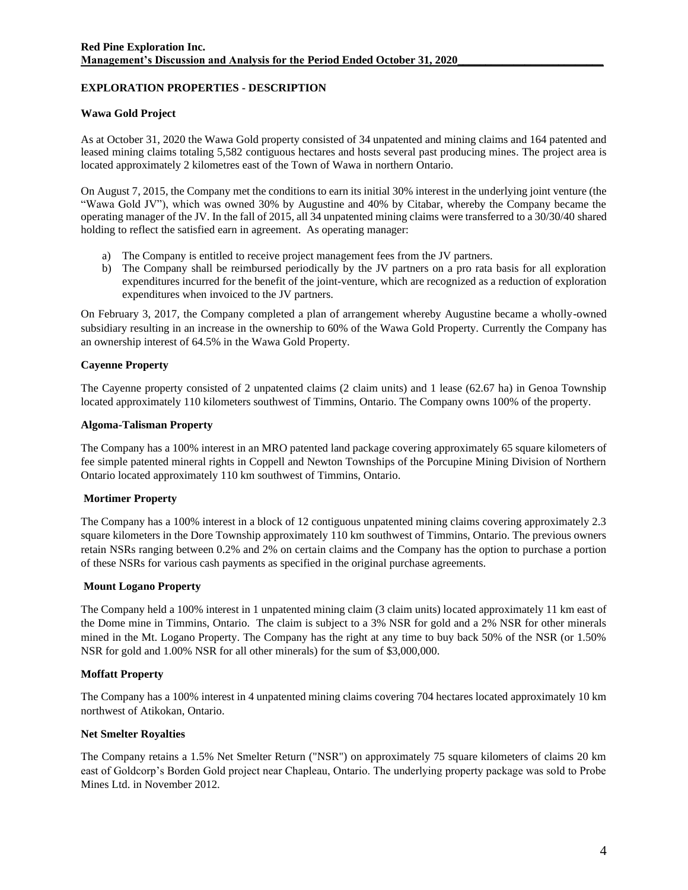# **EXPLORATION PROPERTIES - DESCRIPTION**

# **Wawa Gold Project**

As at October 31, 2020 the Wawa Gold property consisted of 34 unpatented and mining claims and 164 patented and leased mining claims totaling 5,582 contiguous hectares and hosts several past producing mines. The project area is located approximately 2 kilometres east of the Town of Wawa in northern Ontario.

On August 7, 2015, the Company met the conditions to earn its initial 30% interest in the underlying joint venture (the "Wawa Gold JV"), which was owned 30% by Augustine and 40% by Citabar, whereby the Company became the operating manager of the JV. In the fall of 2015, all 34 unpatented mining claims were transferred to a 30/30/40 shared holding to reflect the satisfied earn in agreement. As operating manager:

- a) The Company is entitled to receive project management fees from the JV partners.
- b) The Company shall be reimbursed periodically by the JV partners on a pro rata basis for all exploration expenditures incurred for the benefit of the joint-venture, which are recognized as a reduction of exploration expenditures when invoiced to the JV partners.

On February 3, 2017, the Company completed a plan of arrangement whereby Augustine became a wholly-owned subsidiary resulting in an increase in the ownership to 60% of the Wawa Gold Property. Currently the Company has an ownership interest of 64.5% in the Wawa Gold Property.

# **Cayenne Property**

The Cayenne property consisted of 2 unpatented claims (2 claim units) and 1 lease (62.67 ha) in Genoa Township located approximately 110 kilometers southwest of Timmins, Ontario. The Company owns 100% of the property.

# **Algoma-Talisman Property**

The Company has a 100% interest in an MRO patented land package covering approximately 65 square kilometers of fee simple patented mineral rights in Coppell and Newton Townships of the Porcupine Mining Division of Northern Ontario located approximately 110 km southwest of Timmins, Ontario.

# **Mortimer Property**

The Company has a 100% interest in a block of 12 contiguous unpatented mining claims covering approximately 2.3 square kilometers in the Dore Township approximately 110 km southwest of Timmins, Ontario. The previous owners retain NSRs ranging between 0.2% and 2% on certain claims and the Company has the option to purchase a portion of these NSRs for various cash payments as specified in the original purchase agreements.

## **Mount Logano Property**

The Company held a 100% interest in 1 unpatented mining claim (3 claim units) located approximately 11 km east of the Dome mine in Timmins, Ontario. The claim is subject to a 3% NSR for gold and a 2% NSR for other minerals mined in the Mt. Logano Property. The Company has the right at any time to buy back 50% of the NSR (or 1.50% NSR for gold and 1.00% NSR for all other minerals) for the sum of \$3,000,000.

## **Moffatt Property**

The Company has a 100% interest in 4 unpatented mining claims covering 704 hectares located approximately 10 km northwest of Atikokan, Ontario.

## **Net Smelter Royalties**

The Company retains a 1.5% Net Smelter Return ("NSR") on approximately 75 square kilometers of claims 20 km east of Goldcorp's Borden Gold project near Chapleau, Ontario. The underlying property package was sold to Probe Mines Ltd. in November 2012.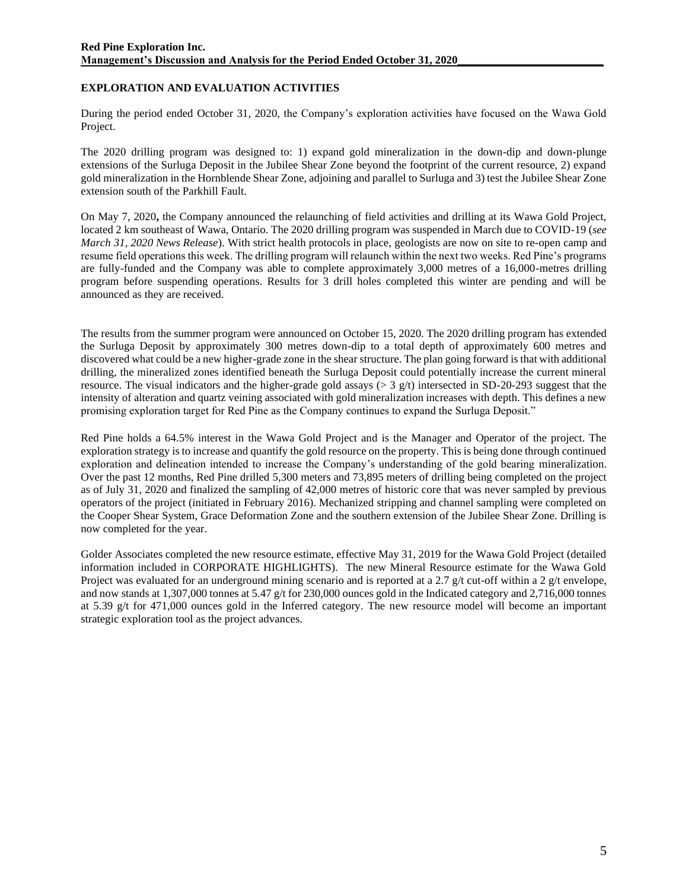# **EXPLORATION AND EVALUATION ACTIVITIES**

During the period ended October 31, 2020, the Company's exploration activities have focused on the Wawa Gold Project.

The 2020 drilling program was designed to: 1) expand gold mineralization in the down-dip and down-plunge extensions of the Surluga Deposit in the Jubilee Shear Zone beyond the footprint of the current resource, 2) expand gold mineralization in the Hornblende Shear Zone, adjoining and parallel to Surluga and 3) test the Jubilee Shear Zone extension south of the Parkhill Fault.

On May 7, 2020**,** the Company announced the relaunching of field activities and drilling at its Wawa Gold Project, located 2 km southeast of Wawa, Ontario. The 2020 drilling program was suspended in March due to COVID-19 (*see March 31, 2020 News Release*). With strict health protocols in place, geologists are now on site to re-open camp and resume field operations this week. The drilling program will relaunch within the next two weeks. Red Pine's programs are fully-funded and the Company was able to complete approximately 3,000 metres of a 16,000-metres drilling program before suspending operations. Results for 3 drill holes completed this winter are pending and will be announced as they are received.

The results from the summer program were announced on October 15, 2020. The 2020 drilling program has extended the Surluga Deposit by approximately 300 metres down-dip to a total depth of approximately 600 metres and discovered what could be a new higher-grade zone in the shear structure. The plan going forward is that with additional drilling, the mineralized zones identified beneath the Surluga Deposit could potentially increase the current mineral resource. The visual indicators and the higher-grade gold assays ( $> 3$  g/t) intersected in SD-20-293 suggest that the intensity of alteration and quartz veining associated with gold mineralization increases with depth. This defines a new promising exploration target for Red Pine as the Company continues to expand the Surluga Deposit."

Red Pine holds a 64.5% interest in the Wawa Gold Project and is the Manager and Operator of the project. The exploration strategy is to increase and quantify the gold resource on the property. This is being done through continued exploration and delineation intended to increase the Company's understanding of the gold bearing mineralization. Over the past 12 months, Red Pine drilled 5,300 meters and 73,895 meters of drilling being completed on the project as of July 31, 2020 and finalized the sampling of 42,000 metres of historic core that was never sampled by previous operators of the project (initiated in February 2016). Mechanized stripping and channel sampling were completed on the Cooper Shear System, Grace Deformation Zone and the southern extension of the Jubilee Shear Zone. Drilling is now completed for the year.

Golder Associates completed the new resource estimate, effective May 31, 2019 for the Wawa Gold Project (detailed information included in CORPORATE HIGHLIGHTS). The new Mineral Resource estimate for the Wawa Gold Project was evaluated for an underground mining scenario and is reported at a 2.7 g/t cut-off within a 2 g/t envelope, and now stands at 1,307,000 tonnes at 5.47 g/t for 230,000 ounces gold in the Indicated category and 2,716,000 tonnes at 5.39 g/t for 471,000 ounces gold in the Inferred category. The new resource model will become an important strategic exploration tool as the project advances.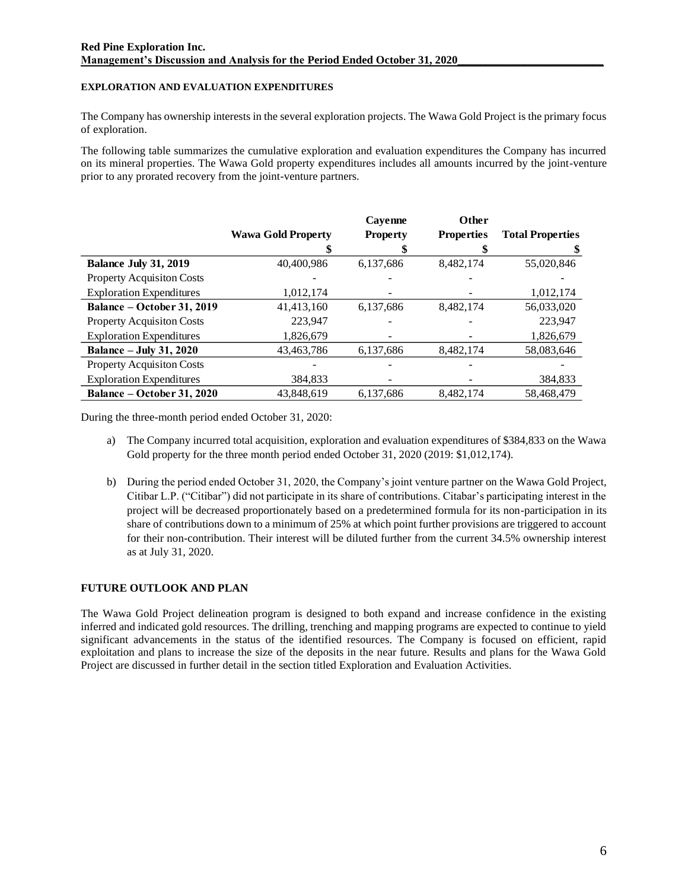## **EXPLORATION AND EVALUATION EXPENDITURES**

The Company has ownership interests in the several exploration projects. The Wawa Gold Project is the primary focus of exploration.

The following table summarizes the cumulative exploration and evaluation expenditures the Company has incurred on its mineral properties. The Wawa Gold property expenditures includes all amounts incurred by the joint-venture prior to any prorated recovery from the joint-venture partners.

|                                  |                           | Cayenne         | Other             |                         |
|----------------------------------|---------------------------|-----------------|-------------------|-------------------------|
|                                  | <b>Wawa Gold Property</b> | <b>Property</b> | <b>Properties</b> | <b>Total Properties</b> |
|                                  |                           |                 |                   |                         |
| <b>Balance July 31, 2019</b>     | 40,400,986                | 6,137,686       | 8,482,174         | 55,020,846              |
| Property Acquisiton Costs        |                           |                 |                   |                         |
| <b>Exploration Expenditures</b>  | 1,012,174                 |                 |                   | 1,012,174               |
| Balance - October 31, 2019       | 41,413,160                | 6,137,686       | 8,482,174         | 56,033,020              |
| <b>Property Acquisiton Costs</b> | 223.947                   |                 |                   | 223.947                 |
| <b>Exploration Expenditures</b>  | 1,826,679                 |                 |                   | 1,826,679               |
| <b>Balance – July 31, 2020</b>   | 43,463,786                | 6,137,686       | 8,482,174         | 58,083,646              |
| Property Acquisiton Costs        |                           |                 |                   |                         |
| <b>Exploration Expenditures</b>  | 384,833                   |                 |                   | 384,833                 |
| Balance – October 31, 2020       | 43.848.619                | 6.137.686       | 8.482.174         | 58.468.479              |

During the three-month period ended October 31, 2020:

- a) The Company incurred total acquisition, exploration and evaluation expenditures of \$384,833 on the Wawa Gold property for the three month period ended October 31, 2020 (2019: \$1,012,174).
- b) During the period ended October 31, 2020, the Company's joint venture partner on the Wawa Gold Project, Citibar L.P. ("Citibar") did not participate in its share of contributions. Citabar's participating interest in the project will be decreased proportionately based on a predetermined formula for its non-participation in its share of contributions down to a minimum of 25% at which point further provisions are triggered to account for their non-contribution. Their interest will be diluted further from the current 34.5% ownership interest as at July 31, 2020.

## **FUTURE OUTLOOK AND PLAN**

The Wawa Gold Project delineation program is designed to both expand and increase confidence in the existing inferred and indicated gold resources. The drilling, trenching and mapping programs are expected to continue to yield significant advancements in the status of the identified resources. The Company is focused on efficient, rapid exploitation and plans to increase the size of the deposits in the near future. Results and plans for the Wawa Gold Project are discussed in further detail in the section titled Exploration and Evaluation Activities.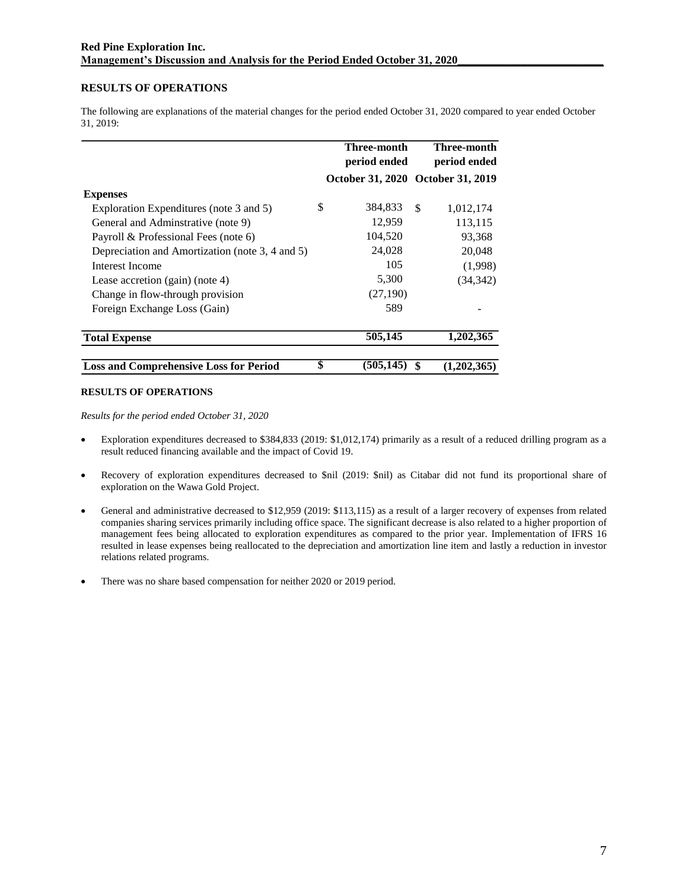## **RESULTS OF OPERATIONS**

The following are explanations of the material changes for the period ended October 31, 2020 compared to year ended October 31, 2019:

|                                                 | Three-month<br>period ended |                                   | Three-month<br>period ended |             |
|-------------------------------------------------|-----------------------------|-----------------------------------|-----------------------------|-------------|
|                                                 |                             | October 31, 2020 October 31, 2019 |                             |             |
| <b>Expenses</b>                                 |                             |                                   |                             |             |
| Exploration Expenditures (note 3 and 5)         | \$                          | 384,833                           | <sup>\$</sup>               | 1,012,174   |
| General and Adminstrative (note 9)              |                             | 12,959                            |                             | 113,115     |
| Payroll & Professional Fees (note 6)            |                             | 104,520                           |                             | 93,368      |
| Depreciation and Amortization (note 3, 4 and 5) |                             | 24,028                            |                             | 20,048      |
| Interest Income                                 |                             | 105                               |                             | (1,998)     |
| Lease accretion $(gain)$ (note 4)               |                             | 5,300                             |                             | (34, 342)   |
| Change in flow-through provision                |                             | (27, 190)                         |                             |             |
| Foreign Exchange Loss (Gain)                    |                             | 589                               |                             |             |
| <b>Total Expense</b>                            |                             | 505,145                           |                             | 1,202,365   |
| <b>Loss and Comprehensive Loss for Period</b>   |                             | (505, 145)                        | \$                          | (1,202,365) |

### **RESULTS OF OPERATIONS**

*Results for the period ended October 31, 2020*

- Exploration expenditures decreased to \$384,833 (2019: \$1,012,174) primarily as a result of a reduced drilling program as a result reduced financing available and the impact of Covid 19.
- Recovery of exploration expenditures decreased to \$nil (2019: \$nil) as Citabar did not fund its proportional share of exploration on the Wawa Gold Project.
- General and administrative decreased to \$12,959 (2019: \$113,115) as a result of a larger recovery of expenses from related companies sharing services primarily including office space. The significant decrease is also related to a higher proportion of management fees being allocated to exploration expenditures as compared to the prior year. Implementation of IFRS 16 resulted in lease expenses being reallocated to the depreciation and amortization line item and lastly a reduction in investor relations related programs.
- There was no share based compensation for neither 2020 or 2019 period.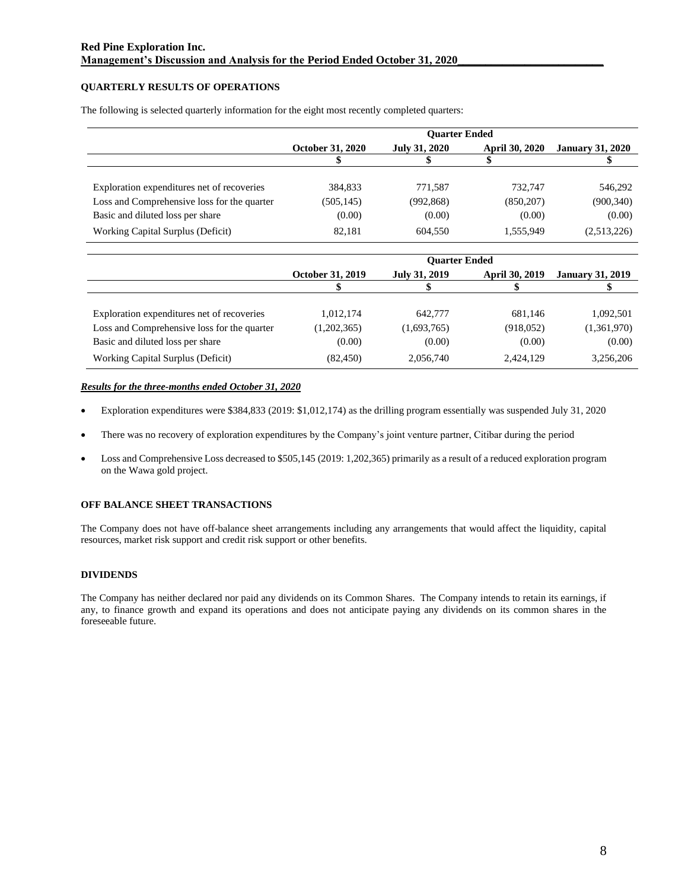## **QUARTERLY RESULTS OF OPERATIONS**

|                                             | <b>Ouarter Ended</b>    |                      |                       |                         |
|---------------------------------------------|-------------------------|----------------------|-----------------------|-------------------------|
|                                             | <b>October 31, 2020</b> | <b>July 31, 2020</b> | <b>April 30, 2020</b> | <b>January 31, 2020</b> |
|                                             |                         |                      |                       |                         |
|                                             |                         |                      |                       |                         |
| Exploration expenditures net of recoveries  | 384,833                 | 771.587              | 732,747               | 546,292                 |
| Loss and Comprehensive loss for the quarter | (505, 145)              | (992, 868)           | (850, 207)            | (900, 340)              |
| Basic and diluted loss per share            | (0.00)                  | (0.00)               | (0.00)                | (0.00)                  |
| Working Capital Surplus (Deficit)           | 82,181                  | 604,550              | 1,555,949             | (2,513,226)             |

The following is selected quarterly information for the eight most recently completed quarters:

|                                             | <b>Ouarter Ended</b>    |               |                       |                         |
|---------------------------------------------|-------------------------|---------------|-----------------------|-------------------------|
|                                             | <b>October 31, 2019</b> | July 31, 2019 | <b>April 30, 2019</b> | <b>January 31, 2019</b> |
|                                             |                         |               |                       |                         |
| Exploration expenditures net of recoveries  | 1.012.174               | 642,777       | 681,146               | 1,092,501               |
| Loss and Comprehensive loss for the quarter | (1,202,365)             | (1,693,765)   | (918, 052)            | (1,361,970)             |
| Basic and diluted loss per share            | (0.00)                  | (0.00)        | (0.00)                | (0.00)                  |
| Working Capital Surplus (Deficit)           | (82, 450)               | 2,056,740     | 2,424,129             | 3,256,206               |

### *Results for the three-months ended October 31, 2020*

- Exploration expenditures were \$384,833 (2019: \$1,012,174) as the drilling program essentially was suspended July 31, 2020
- There was no recovery of exploration expenditures by the Company's joint venture partner, Citibar during the period
- Loss and Comprehensive Loss decreased to \$505,145 (2019: 1,202,365) primarily as a result of a reduced exploration program on the Wawa gold project.

## **OFF BALANCE SHEET TRANSACTIONS**

The Company does not have off-balance sheet arrangements including any arrangements that would affect the liquidity, capital resources, market risk support and credit risk support or other benefits.

## **DIVIDENDS**

The Company has neither declared nor paid any dividends on its Common Shares. The Company intends to retain its earnings, if any, to finance growth and expand its operations and does not anticipate paying any dividends on its common shares in the foreseeable future.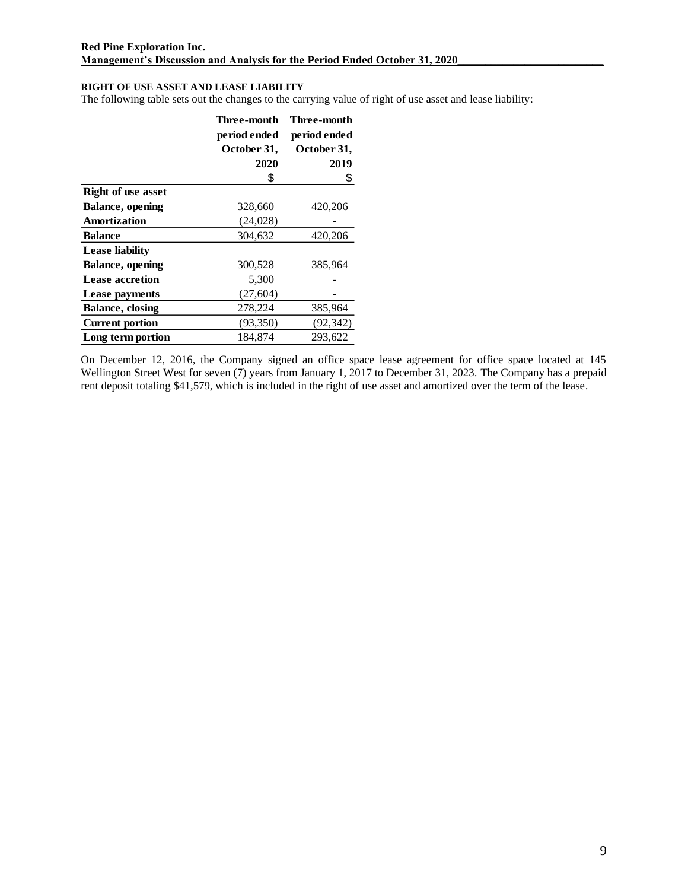# **RIGHT OF USE ASSET AND LEASE LIABILITY**

The following table sets out the changes to the carrying value of right of use asset and lease liability:

|                           | Three-month  | Three-month  |
|---------------------------|--------------|--------------|
|                           | period ended | period ended |
|                           | October 31,  | October 31,  |
|                           | 2020         | 2019         |
|                           | \$           | \$           |
| <b>Right of use asset</b> |              |              |
| <b>Balance</b> , opening  | 328,660      | 420,206      |
| Amortization              | (24,028)     |              |
| <b>Balance</b>            | 304,632      | 420,206      |
| <b>Lease liability</b>    |              |              |
| Balance, opening          | 300,528      | 385,964      |
| <b>Lease accretion</b>    | 5,300        |              |
| Lease payments            | (27, 604)    |              |
| <b>Balance</b> , closing  | 278,224      | 385,964      |
| <b>Current portion</b>    | (93, 350)    | (92, 342)    |
| Long term portion         | 184.874      | 293.622      |

On December 12, 2016, the Company signed an office space lease agreement for office space located at 145 Wellington Street West for seven (7) years from January 1, 2017 to December 31, 2023. The Company has a prepaid rent deposit totaling \$41,579, which is included in the right of use asset and amortized over the term of the lease.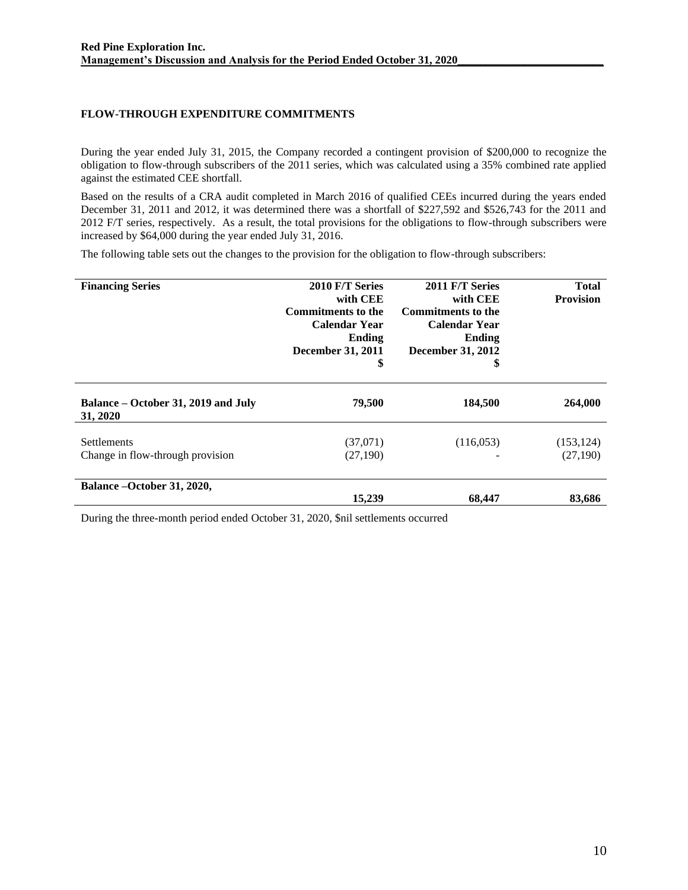# **FLOW-THROUGH EXPENDITURE COMMITMENTS**

During the year ended July 31, 2015, the Company recorded a contingent provision of \$200,000 to recognize the obligation to flow-through subscribers of the 2011 series, which was calculated using a 35% combined rate applied against the estimated CEE shortfall.

Based on the results of a CRA audit completed in March 2016 of qualified CEEs incurred during the years ended December 31, 2011 and 2012, it was determined there was a shortfall of \$227,592 and \$526,743 for the 2011 and 2012 F/T series, respectively. As a result, the total provisions for the obligations to flow-through subscribers were increased by \$64,000 during the year ended July 31, 2016.

The following table sets out the changes to the provision for the obligation to flow-through subscribers:

| <b>Financing Series</b>                                | 2010 F/T Series<br>with CEE<br><b>Commitments to the</b><br><b>Calendar Year</b><br>Ending<br>December 31, 2011<br>\$ | 2011 F/T Series<br>with CEE<br><b>Commitments to the</b><br><b>Calendar Year</b><br>Ending<br><b>December 31, 2012</b><br>\$ | Total<br><b>Provision</b> |
|--------------------------------------------------------|-----------------------------------------------------------------------------------------------------------------------|------------------------------------------------------------------------------------------------------------------------------|---------------------------|
| Balance – October 31, 2019 and July<br>31, 2020        | 79,500                                                                                                                | 184,500                                                                                                                      | 264,000                   |
| <b>Settlements</b><br>Change in flow-through provision | (37,071)<br>(27,190)                                                                                                  | (116, 053)                                                                                                                   | (153, 124)<br>(27,190)    |
| Balance –October 31, 2020,                             | 15,239                                                                                                                | 68,447                                                                                                                       | 83,686                    |

During the three-month period ended October 31, 2020, \$nil settlements occurred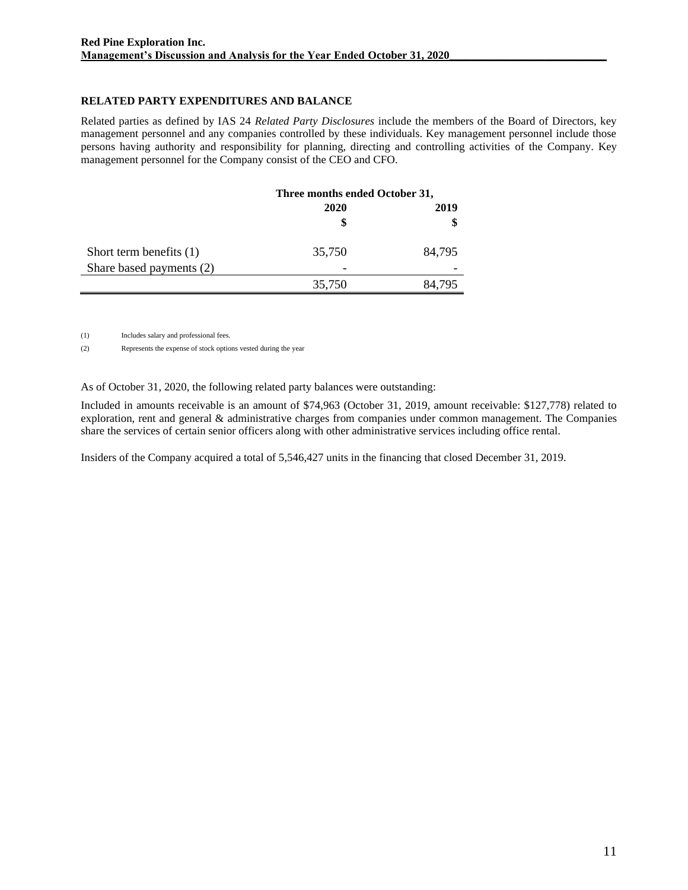# **RELATED PARTY EXPENDITURES AND BALANCE**

Related parties as defined by IAS 24 *Related Party Disclosures* include the members of the Board of Directors, key management personnel and any companies controlled by these individuals. Key management personnel include those persons having authority and responsibility for planning, directing and controlling activities of the Company. Key management personnel for the Company consist of the CEO and CFO.

|                           | Three months ended October 31, |        |
|---------------------------|--------------------------------|--------|
|                           | 2020                           | 2019   |
|                           |                                | \$     |
| Short term benefits $(1)$ | 35,750                         | 84,795 |
| Share based payments (2)  |                                |        |
|                           | 35,750                         | 84,795 |

(1) Includes salary and professional fees.

(2) Represents the expense of stock options vested during the year

As of October 31, 2020, the following related party balances were outstanding:

Included in amounts receivable is an amount of \$74,963 (October 31, 2019, amount receivable: \$127,778) related to exploration, rent and general & administrative charges from companies under common management. The Companies share the services of certain senior officers along with other administrative services including office rental.

Insiders of the Company acquired a total of 5,546,427 units in the financing that closed December 31, 2019.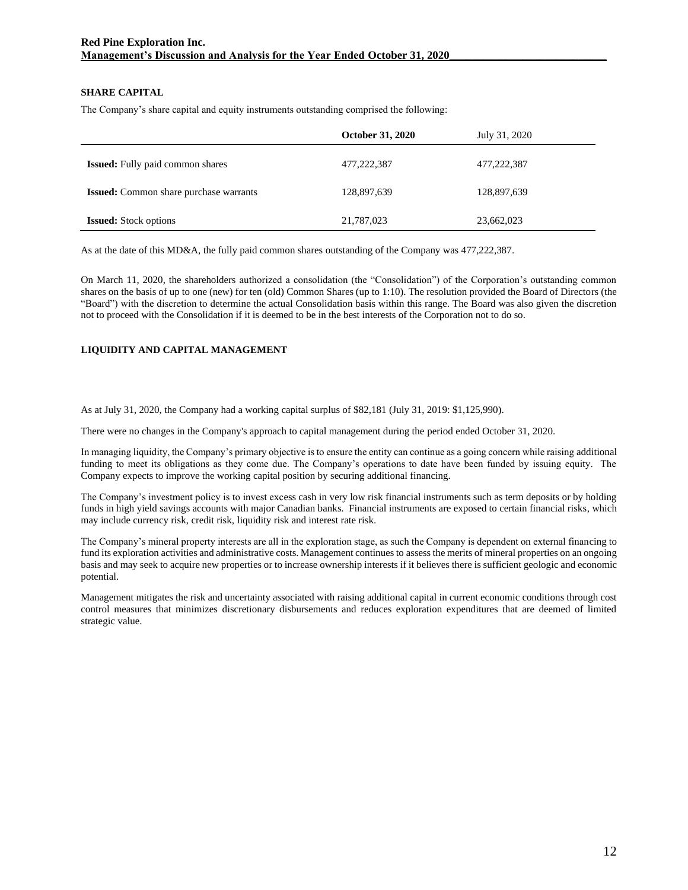## **SHARE CAPITAL**

The Company's share capital and equity instruments outstanding comprised the following:

|                                               | <b>October 31, 2020</b> | July 31, 2020 |
|-----------------------------------------------|-------------------------|---------------|
| <b>Issued:</b> Fully paid common shares       | 477,222,387             | 477,222,387   |
| <b>Issued:</b> Common share purchase warrants | 128,897,639             | 128,897,639   |
| <b>Issued:</b> Stock options                  | 21,787,023              | 23,662,023    |

As at the date of this MD&A, the fully paid common shares outstanding of the Company was 477,222,387.

On March 11, 2020, the shareholders authorized a consolidation (the "Consolidation") of the Corporation's outstanding common shares on the basis of up to one (new) for ten (old) Common Shares (up to 1:10). The resolution provided the Board of Directors (the "Board") with the discretion to determine the actual Consolidation basis within this range. The Board was also given the discretion not to proceed with the Consolidation if it is deemed to be in the best interests of the Corporation not to do so.

## **LIQUIDITY AND CAPITAL MANAGEMENT**

As at July 31, 2020, the Company had a working capital surplus of \$82,181 (July 31, 2019: \$1,125,990).

There were no changes in the Company's approach to capital management during the period ended October 31, 2020.

In managing liquidity, the Company's primary objective is to ensure the entity can continue as a going concern while raising additional funding to meet its obligations as they come due. The Company's operations to date have been funded by issuing equity. The Company expects to improve the working capital position by securing additional financing.

The Company's investment policy is to invest excess cash in very low risk financial instruments such as term deposits or by holding funds in high yield savings accounts with major Canadian banks. Financial instruments are exposed to certain financial risks, which may include currency risk, credit risk, liquidity risk and interest rate risk.

The Company's mineral property interests are all in the exploration stage, as such the Company is dependent on external financing to fund its exploration activities and administrative costs. Management continues to assess the merits of mineral properties on an ongoing basis and may seek to acquire new properties or to increase ownership interests if it believes there is sufficient geologic and economic potential.

Management mitigates the risk and uncertainty associated with raising additional capital in current economic conditions through cost control measures that minimizes discretionary disbursements and reduces exploration expenditures that are deemed of limited strategic value.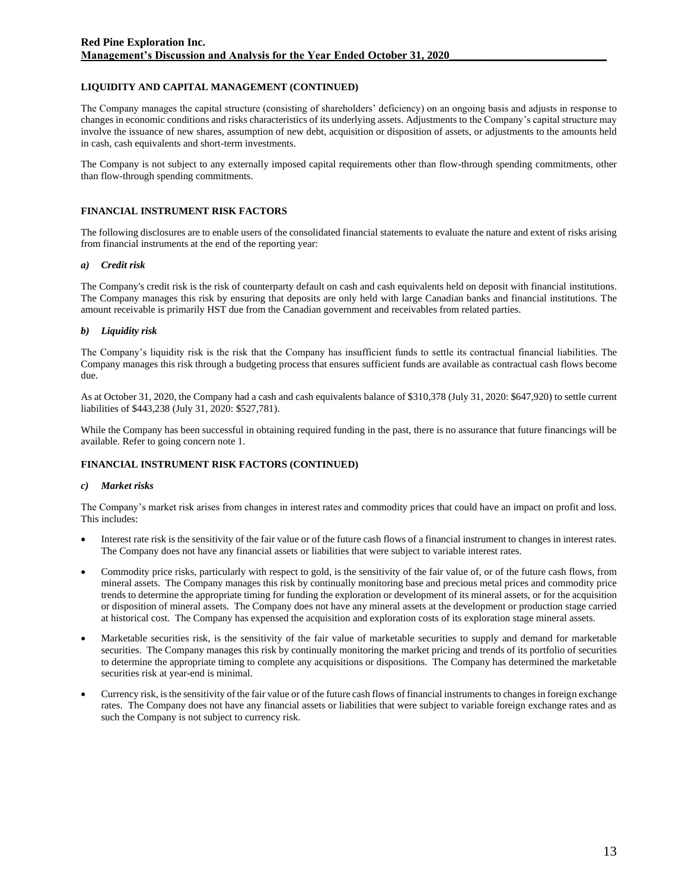## **LIQUIDITY AND CAPITAL MANAGEMENT (CONTINUED)**

The Company manages the capital structure (consisting of shareholders' deficiency) on an ongoing basis and adjusts in response to changes in economic conditions and risks characteristics of its underlying assets. Adjustments to the Company's capital structure may involve the issuance of new shares, assumption of new debt, acquisition or disposition of assets, or adjustments to the amounts held in cash, cash equivalents and short-term investments.

The Company is not subject to any externally imposed capital requirements other than flow-through spending commitments, other than flow-through spending commitments.

### **FINANCIAL INSTRUMENT RISK FACTORS**

The following disclosures are to enable users of the consolidated financial statements to evaluate the nature and extent of risks arising from financial instruments at the end of the reporting year:

#### *a) Credit risk*

The Company's credit risk is the risk of counterparty default on cash and cash equivalents held on deposit with financial institutions. The Company manages this risk by ensuring that deposits are only held with large Canadian banks and financial institutions. The amount receivable is primarily HST due from the Canadian government and receivables from related parties.

### *b) Liquidity risk*

The Company's liquidity risk is the risk that the Company has insufficient funds to settle its contractual financial liabilities. The Company manages this risk through a budgeting process that ensures sufficient funds are available as contractual cash flows become due.

As at October 31, 2020, the Company had a cash and cash equivalents balance of \$310,378 (July 31, 2020: \$647,920) to settle current liabilities of \$443,238 (July 31, 2020: \$527,781).

While the Company has been successful in obtaining required funding in the past, there is no assurance that future financings will be available. Refer to going concern note 1.

## **FINANCIAL INSTRUMENT RISK FACTORS (CONTINUED)**

#### *c) Market risks*

The Company's market risk arises from changes in interest rates and commodity prices that could have an impact on profit and loss. This includes:

- Interest rate risk is the sensitivity of the fair value or of the future cash flows of a financial instrument to changes in interest rates. The Company does not have any financial assets or liabilities that were subject to variable interest rates.
- Commodity price risks, particularly with respect to gold, is the sensitivity of the fair value of, or of the future cash flows, from mineral assets. The Company manages this risk by continually monitoring base and precious metal prices and commodity price trends to determine the appropriate timing for funding the exploration or development of its mineral assets, or for the acquisition or disposition of mineral assets. The Company does not have any mineral assets at the development or production stage carried at historical cost. The Company has expensed the acquisition and exploration costs of its exploration stage mineral assets.
- Marketable securities risk, is the sensitivity of the fair value of marketable securities to supply and demand for marketable securities. The Company manages this risk by continually monitoring the market pricing and trends of its portfolio of securities to determine the appropriate timing to complete any acquisitions or dispositions. The Company has determined the marketable securities risk at year-end is minimal.
- Currency risk, is the sensitivity of the fair value or of the future cash flows of financial instruments to changes in foreign exchange rates. The Company does not have any financial assets or liabilities that were subject to variable foreign exchange rates and as such the Company is not subject to currency risk.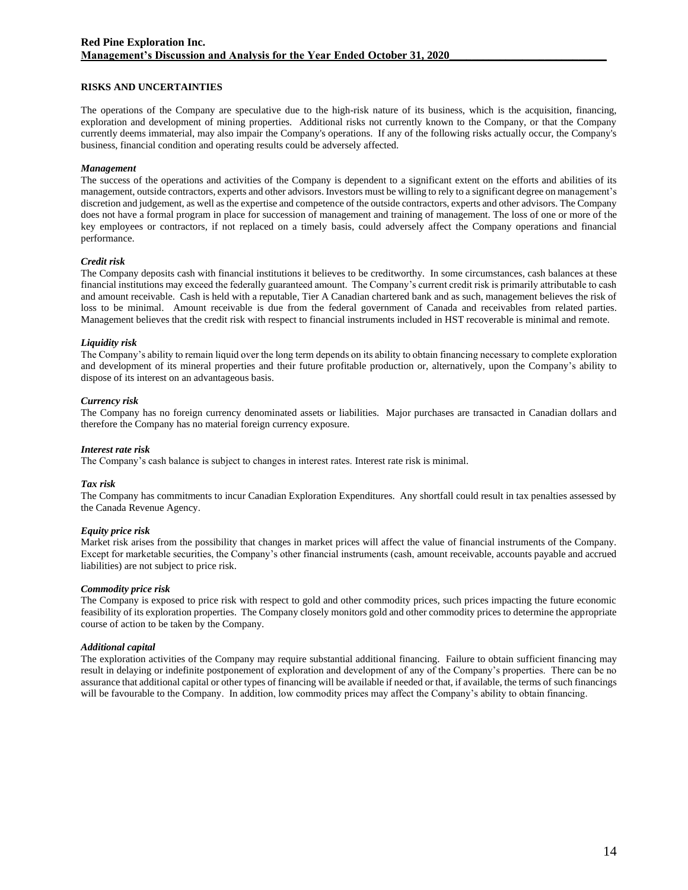## **RISKS AND UNCERTAINTIES**

The operations of the Company are speculative due to the high-risk nature of its business, which is the acquisition, financing, exploration and development of mining properties. Additional risks not currently known to the Company, or that the Company currently deems immaterial, may also impair the Company's operations. If any of the following risks actually occur, the Company's business, financial condition and operating results could be adversely affected.

#### *Management*

The success of the operations and activities of the Company is dependent to a significant extent on the efforts and abilities of its management, outside contractors, experts and other advisors. Investors must be willing to rely to a significant degree on management's discretion and judgement, as well as the expertise and competence of the outside contractors, experts and other advisors. The Company does not have a formal program in place for succession of management and training of management. The loss of one or more of the key employees or contractors, if not replaced on a timely basis, could adversely affect the Company operations and financial performance.

### *Credit risk*

The Company deposits cash with financial institutions it believes to be creditworthy. In some circumstances, cash balances at these financial institutions may exceed the federally guaranteed amount. The Company's current credit risk is primarily attributable to cash and amount receivable. Cash is held with a reputable, Tier A Canadian chartered bank and as such, management believes the risk of loss to be minimal. Amount receivable is due from the federal government of Canada and receivables from related parties. Management believes that the credit risk with respect to financial instruments included in HST recoverable is minimal and remote.

### *Liquidity risk*

The Company's ability to remain liquid over the long term depends on its ability to obtain financing necessary to complete exploration and development of its mineral properties and their future profitable production or, alternatively, upon the Company's ability to dispose of its interest on an advantageous basis.

### *Currency risk*

The Company has no foreign currency denominated assets or liabilities. Major purchases are transacted in Canadian dollars and therefore the Company has no material foreign currency exposure.

#### *Interest rate risk*

The Company's cash balance is subject to changes in interest rates. Interest rate risk is minimal.

#### *Tax risk*

The Company has commitments to incur Canadian Exploration Expenditures. Any shortfall could result in tax penalties assessed by the Canada Revenue Agency.

## *Equity price risk*

Market risk arises from the possibility that changes in market prices will affect the value of financial instruments of the Company. Except for marketable securities, the Company's other financial instruments (cash, amount receivable, accounts payable and accrued liabilities) are not subject to price risk.

#### *Commodity price risk*

The Company is exposed to price risk with respect to gold and other commodity prices, such prices impacting the future economic feasibility of its exploration properties. The Company closely monitors gold and other commodity prices to determine the appropriate course of action to be taken by the Company.

#### *Additional capital*

The exploration activities of the Company may require substantial additional financing. Failure to obtain sufficient financing may result in delaying or indefinite postponement of exploration and development of any of the Company's properties. There can be no assurance that additional capital or other types of financing will be available if needed or that, if available, the terms of such financings will be favourable to the Company. In addition, low commodity prices may affect the Company's ability to obtain financing.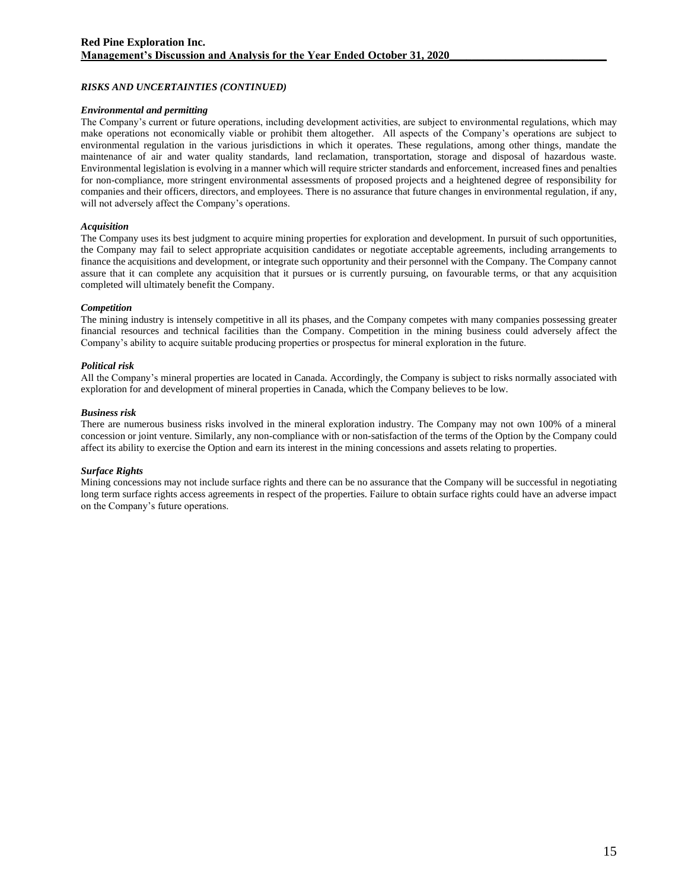## *RISKS AND UNCERTAINTIES (CONTINUED)*

### *Environmental and permitting*

The Company's current or future operations, including development activities, are subject to environmental regulations, which may make operations not economically viable or prohibit them altogether. All aspects of the Company's operations are subject to environmental regulation in the various jurisdictions in which it operates. These regulations, among other things, mandate the maintenance of air and water quality standards, land reclamation, transportation, storage and disposal of hazardous waste. Environmental legislation is evolving in a manner which will require stricter standards and enforcement, increased fines and penalties for non-compliance, more stringent environmental assessments of proposed projects and a heightened degree of responsibility for companies and their officers, directors, and employees. There is no assurance that future changes in environmental regulation, if any, will not adversely affect the Company's operations.

### *Acquisition*

The Company uses its best judgment to acquire mining properties for exploration and development. In pursuit of such opportunities, the Company may fail to select appropriate acquisition candidates or negotiate acceptable agreements, including arrangements to finance the acquisitions and development, or integrate such opportunity and their personnel with the Company. The Company cannot assure that it can complete any acquisition that it pursues or is currently pursuing, on favourable terms, or that any acquisition completed will ultimately benefit the Company.

### *Competition*

The mining industry is intensely competitive in all its phases, and the Company competes with many companies possessing greater financial resources and technical facilities than the Company. Competition in the mining business could adversely affect the Company's ability to acquire suitable producing properties or prospectus for mineral exploration in the future.

### *Political risk*

All the Company's mineral properties are located in Canada. Accordingly, the Company is subject to risks normally associated with exploration for and development of mineral properties in Canada, which the Company believes to be low.

#### *Business risk*

There are numerous business risks involved in the mineral exploration industry. The Company may not own 100% of a mineral concession or joint venture. Similarly, any non-compliance with or non-satisfaction of the terms of the Option by the Company could affect its ability to exercise the Option and earn its interest in the mining concessions and assets relating to properties.

## *Surface Rights*

Mining concessions may not include surface rights and there can be no assurance that the Company will be successful in negotiating long term surface rights access agreements in respect of the properties. Failure to obtain surface rights could have an adverse impact on the Company's future operations.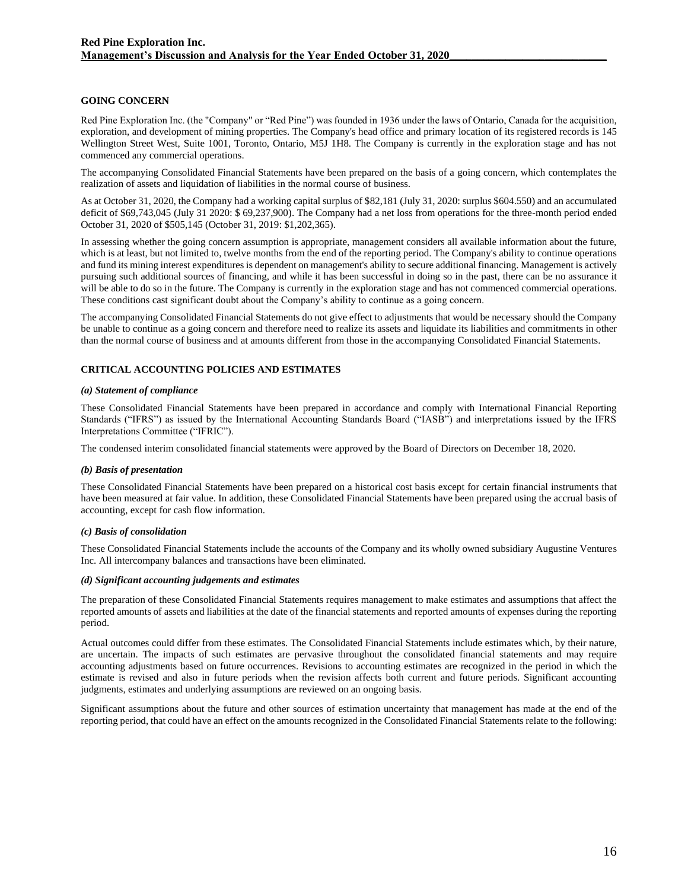### **GOING CONCERN**

Red Pine Exploration Inc. (the "Company" or "Red Pine") was founded in 1936 under the laws of Ontario, Canada for the acquisition, exploration, and development of mining properties. The Company's head office and primary location of its registered records is 145 Wellington Street West, Suite 1001, Toronto, Ontario, M5J 1H8. The Company is currently in the exploration stage and has not commenced any commercial operations.

The accompanying Consolidated Financial Statements have been prepared on the basis of a going concern, which contemplates the realization of assets and liquidation of liabilities in the normal course of business.

As at October 31, 2020, the Company had a working capital surplus of \$82,181 (July 31, 2020: surplus \$604.550) and an accumulated deficit of \$69,743,045 (July 31 2020: \$ 69,237,900). The Company had a net loss from operations for the three-month period ended October 31, 2020 of \$505,145 (October 31, 2019: \$1,202,365).

In assessing whether the going concern assumption is appropriate, management considers all available information about the future, which is at least, but not limited to, twelve months from the end of the reporting period. The Company's ability to continue operations and fund its mining interest expenditures is dependent on management's ability to secure additional financing. Management is actively pursuing such additional sources of financing, and while it has been successful in doing so in the past, there can be no assurance it will be able to do so in the future. The Company is currently in the exploration stage and has not commenced commercial operations. These conditions cast significant doubt about the Company's ability to continue as a going concern.

The accompanying Consolidated Financial Statements do not give effect to adjustments that would be necessary should the Company be unable to continue as a going concern and therefore need to realize its assets and liquidate its liabilities and commitments in other than the normal course of business and at amounts different from those in the accompanying Consolidated Financial Statements.

## **CRITICAL ACCOUNTING POLICIES AND ESTIMATES**

#### *(a) Statement of compliance*

These Consolidated Financial Statements have been prepared in accordance and comply with International Financial Reporting Standards ("IFRS") as issued by the International Accounting Standards Board ("IASB") and interpretations issued by the IFRS Interpretations Committee ("IFRIC").

The condensed interim consolidated financial statements were approved by the Board of Directors on December 18, 2020.

#### *(b) Basis of presentation*

These Consolidated Financial Statements have been prepared on a historical cost basis except for certain financial instruments that have been measured at fair value. In addition, these Consolidated Financial Statements have been prepared using the accrual basis of accounting, except for cash flow information.

### *(c) Basis of consolidation*

These Consolidated Financial Statements include the accounts of the Company and its wholly owned subsidiary Augustine Ventures Inc. All intercompany balances and transactions have been eliminated.

#### *(d) Significant accounting judgements and estimates*

The preparation of these Consolidated Financial Statements requires management to make estimates and assumptions that affect the reported amounts of assets and liabilities at the date of the financial statements and reported amounts of expenses during the reporting period.

Actual outcomes could differ from these estimates. The Consolidated Financial Statements include estimates which, by their nature, are uncertain. The impacts of such estimates are pervasive throughout the consolidated financial statements and may require accounting adjustments based on future occurrences. Revisions to accounting estimates are recognized in the period in which the estimate is revised and also in future periods when the revision affects both current and future periods. Significant accounting judgments, estimates and underlying assumptions are reviewed on an ongoing basis.

Significant assumptions about the future and other sources of estimation uncertainty that management has made at the end of the reporting period, that could have an effect on the amounts recognized in the Consolidated Financial Statements relate to the following: